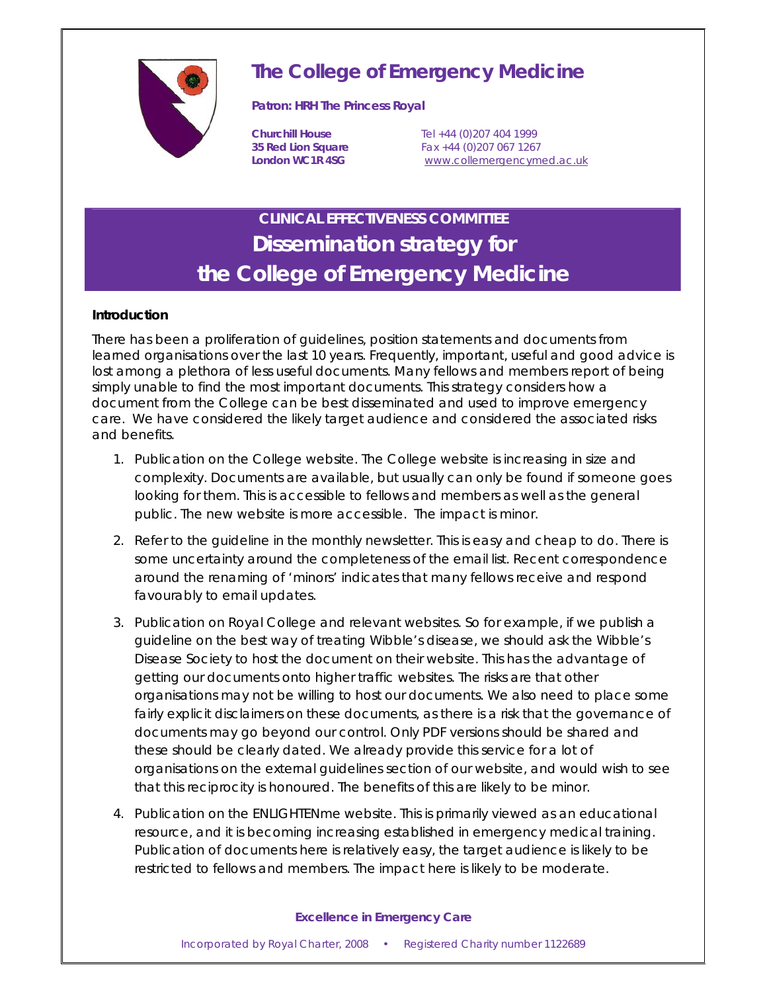

# **The College of Emergency Medicine**

### **Patron: HRH The Princess Royal**

**Churchill House** Tel +44 (0)207 404 1999 **35 Red Lion Square** Fax +44 (0)207 067 1267 London WC1R 4SG **www.collemergencymed.ac.uk** 

# **CLINICAL EFFECTIVENESS COMMITTEE Dissemination strategy for the College of Emergency Medicine**

## **Introduction**

There has been a proliferation of guidelines, position statements and documents from learned organisations over the last 10 years. Frequently, important, useful and good advice is lost among a plethora of less useful documents. Many fellows and members report of being simply unable to find the most important documents. This strategy considers how a document from the College can be best disseminated and used to improve emergency care. We have considered the likely target audience and considered the associated risks and benefits.

- 1. *Publication on the College website*. The College website is increasing in size and complexity. Documents are available, but usually can only be found if someone goes looking for them. This is accessible to fellows and members as well as the general public. The new website is more accessible. The impact is minor.
- 2. *Refer to the guideline in the monthly newsletter*. This is easy and cheap to do. There is some uncertainty around the completeness of the email list. Recent correspondence around the renaming of 'minors' indicates that many fellows receive and respond favourably to email updates.
- 3. *Publication on Royal College and relevant websites*. So for example, if we publish a guideline on the best way of treating Wibble's disease, we should ask the Wibble's Disease Society to host the document on their website. This has the advantage of getting our documents onto higher traffic websites. The risks are that other organisations may not be willing to host our documents. We also need to place some fairly explicit disclaimers on these documents, as there is a risk that the governance of documents may go beyond our control. Only PDF versions should be shared and these should be clearly dated. We already provide this service for a lot of organisations on the external guidelines section of our website, and would wish to see that this reciprocity is honoured. The benefits of this are likely to be minor.
- 4. *Publication on the ENLIGHTENme website*. This is primarily viewed as an educational resource, and it is becoming increasing established in emergency medical training. Publication of documents here is relatively easy, the target audience is likely to be restricted to fellows and members. The impact here is likely to be moderate.

#### *Excellence in Emergency Care*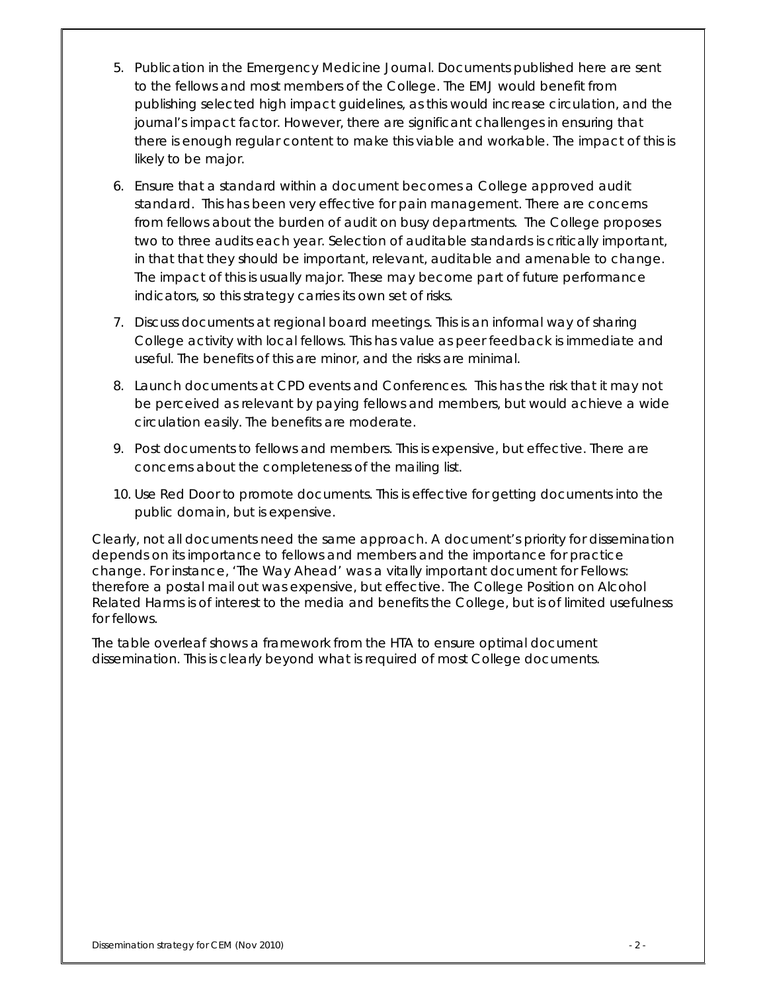- 5. *Publication in the Emergency Medicine Journal*. Documents published here are sent to the fellows and most members of the College. The EMJ would benefit from publishing selected high impact guidelines, as this would increase circulation, and the journal's impact factor. However, there are significant challenges in ensuring that there is enough regular content to make this viable and workable. The impact of this is likely to be major.
- 6. *Ensure that a standard within a document becomes a College approved audit standard*. This has been very effective for pain management. There are concerns from fellows about the burden of audit on busy departments. The College proposes two to three audits each year. Selection of auditable standards is critically important, in that that they should be important, relevant, auditable and amenable to change. The impact of this is usually major. These may become part of future performance indicators, so this strategy carries its own set of risks.
- 7. *Discuss documents at regional board meetings*. This is an informal way of sharing College activity with local fellows. This has value as peer feedback is immediate and useful. The benefits of this are minor, and the risks are minimal.
- 8. *Launch documents at CPD events and Conferences*. This has the risk that it may not be perceived as relevant by paying fellows and members, but would achieve a wide circulation easily. The benefits are moderate.
- 9. *Post documents to fellows and members*. This is expensive, but effective. There are concerns about the completeness of the mailing list.
- 10. *Use Red Door to promote documents*. This is effective for getting documents into the public domain, but is expensive.

Clearly, not all documents need the same approach. A document's priority for dissemination depends on its importance to fellows and members and the importance for practice change. For instance, 'The Way Ahead' was a vitally important document for Fellows: therefore a postal mail out was expensive, but effective. The College Position on Alcohol Related Harms is of interest to the media and benefits the College, but is of limited usefulness for fellows.

The table overleaf shows a framework from the HTA to ensure optimal document dissemination. This is clearly beyond what is required of most College documents.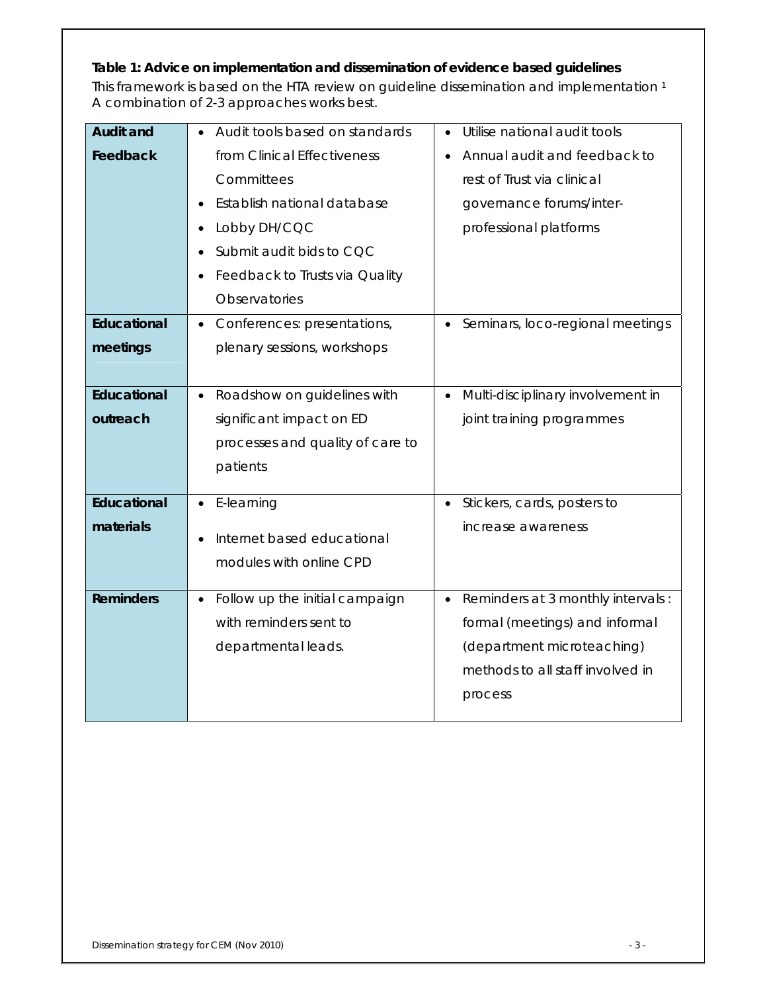# **Table 1: Advice on implementation and dissemination of evidence based guidelines**

This framework is based on the HTA review on guideline dissemination and implementation 1 A combination of 2-3 approaches works best.

| <b>Audit and</b> | Audit tools based on standards              | Utilise national audit tools                   |
|------------------|---------------------------------------------|------------------------------------------------|
| Feedback         | from Clinical Effectiveness                 | Annual audit and feedback to                   |
|                  | Committees                                  | rest of Trust via clinical                     |
|                  | Establish national database<br>$\bullet$    | governance forums/inter-                       |
|                  | Lobby DH/CQC<br>$\bullet$                   | professional platforms                         |
|                  | Submit audit bids to CQC<br>$\bullet$       |                                                |
|                  | Feedback to Trusts via Quality              |                                                |
|                  | Observatories                               |                                                |
| Educational      | Conferences: presentations,<br>$\bullet$    | Seminars, loco-regional meetings<br>$\bullet$  |
| meetings         | plenary sessions, workshops                 |                                                |
|                  |                                             |                                                |
| Educational      | Roadshow on guidelines with<br>$\bullet$    | Multi-disciplinary involvement in<br>$\bullet$ |
| outreach         | significant impact on ED                    | joint training programmes                      |
|                  | processes and quality of care to            |                                                |
|                  | patients                                    |                                                |
| Educational      | E-learning                                  | Stickers, cards, posters to<br>$\bullet$       |
| materials        |                                             | increase awareness                             |
|                  | Internet based educational<br>$\bullet$     |                                                |
|                  | modules with online CPD                     |                                                |
| <b>Reminders</b> | Follow up the initial campaign<br>$\bullet$ | Reminders at 3 monthly intervals:<br>$\bullet$ |
|                  | with reminders sent to                      | formal (meetings) and informal                 |
|                  | departmental leads.                         | (department microteaching)                     |
|                  |                                             | methods to all staff involved in               |
|                  |                                             | process                                        |
|                  |                                             |                                                |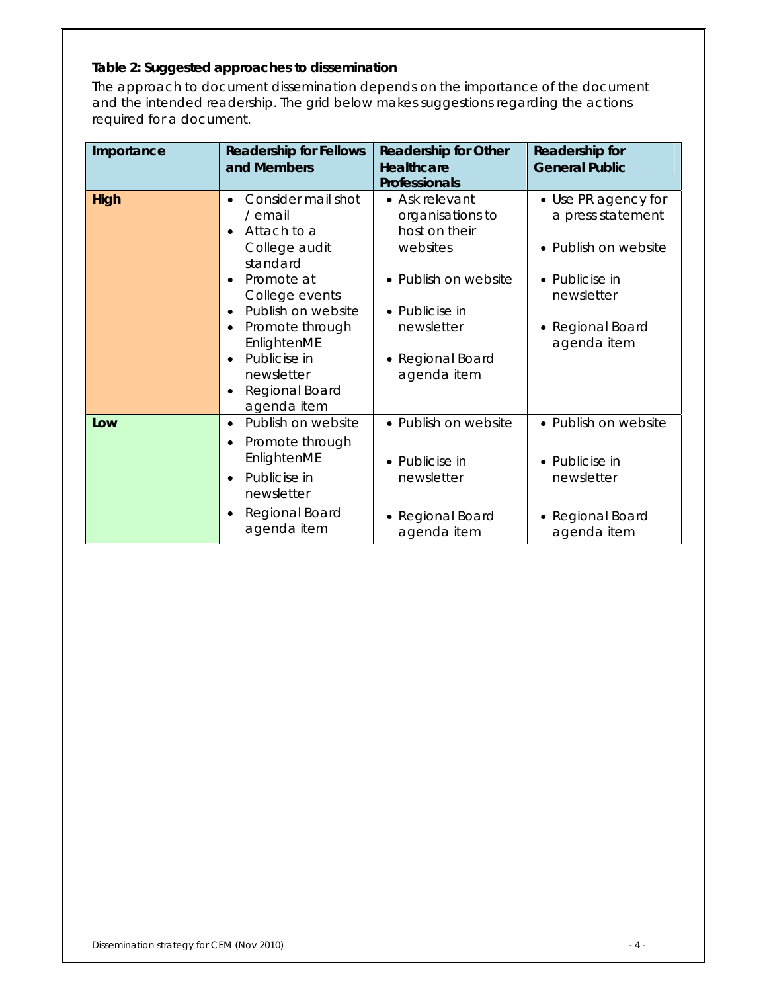## **Table 2: Suggested approaches to dissemination**

The approach to document dissemination depends on the importance of the document and the intended readership. The grid below makes suggestions regarding the actions required for a document.

| Importance | <b>Readership for Fellows</b><br>and Members                                                                                                                                                                                                                                                                                | <b>Readership for Other</b><br><b>Healthcare</b><br>Professionals                                                                                          | Readership for<br><b>General Public</b>                                                                                             |
|------------|-----------------------------------------------------------------------------------------------------------------------------------------------------------------------------------------------------------------------------------------------------------------------------------------------------------------------------|------------------------------------------------------------------------------------------------------------------------------------------------------------|-------------------------------------------------------------------------------------------------------------------------------------|
| High       | Consider mail shot<br>$\bullet$<br>/ email<br>Attach to a<br>$\bullet$<br>College audit<br>standard<br>Promote at<br>$\bullet$<br>College events<br>Publish on website<br>$\bullet$<br>Promote through<br>$\bullet$<br>EnlightenME<br>Publicise in<br>$\bullet$<br>newsletter<br>Regional Board<br>$\bullet$<br>agenda item | • Ask relevant<br>organisations to<br>host on their<br>websites<br>• Publish on website<br>• Publicise in<br>newsletter<br>• Regional Board<br>agenda item | • Use PR agency for<br>a press statement<br>• Publish on website<br>• Publicise in<br>newsletter<br>• Regional Board<br>agenda item |
| Low        | Publish on website<br>$\bullet$<br>Promote through<br>$\bullet$<br>EnlightenME<br>Publicise in<br>$\bullet$<br>newsletter<br>Regional Board<br>$\bullet$<br>agenda item                                                                                                                                                     | • Publish on website<br>• Publicise in<br>newsletter<br>• Regional Board<br>agenda item                                                                    | • Publish on website<br>• Publicise in<br>newsletter<br>• Regional Board<br>agenda item                                             |